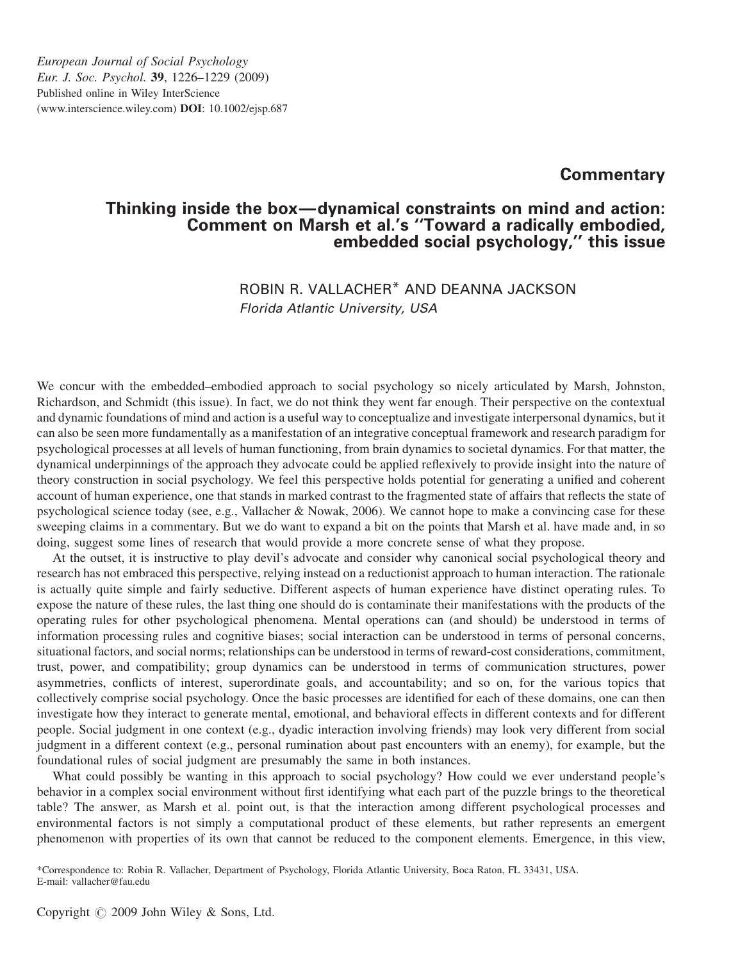European Journal of Social Psychology Eur. J. Soc. Psychol. 39, 1226–1229 (2009) Published online in Wiley InterScience (www.interscience.wiley.com) DOI: 10.1002/ejsp.687

### **Commentary**

# Thinking inside the box—dynamical constraints on mind and action: Comment on Marsh et al.'s ''Toward a radically embodied, embedded social psychology,'' this issue

# ROBIN R. VALLACHER\* AND DEANNA JACKSON Florida Atlantic University, USA

We concur with the embedded–embodied approach to social psychology so nicely articulated by Marsh, Johnston, Richardson, and Schmidt (this issue). In fact, we do not think they went far enough. Their perspective on the contextual and dynamic foundations of mind and action is a useful way to conceptualize and investigate interpersonal dynamics, but it can also be seen more fundamentally as a manifestation of an integrative conceptual framework and research paradigm for psychological processes at all levels of human functioning, from brain dynamics to societal dynamics. For that matter, the dynamical underpinnings of the approach they advocate could be applied reflexively to provide insight into the nature of theory construction in social psychology. We feel this perspective holds potential for generating a unified and coherent account of human experience, one that stands in marked contrast to the fragmented state of affairs that reflects the state of psychological science today (see, e.g., Vallacher & Nowak, 2006). We cannot hope to make a convincing case for these sweeping claims in a commentary. But we do want to expand a bit on the points that Marsh et al. have made and, in so doing, suggest some lines of research that would provide a more concrete sense of what they propose.

At the outset, it is instructive to play devil's advocate and consider why canonical social psychological theory and research has not embraced this perspective, relying instead on a reductionist approach to human interaction. The rationale is actually quite simple and fairly seductive. Different aspects of human experience have distinct operating rules. To expose the nature of these rules, the last thing one should do is contaminate their manifestations with the products of the operating rules for other psychological phenomena. Mental operations can (and should) be understood in terms of information processing rules and cognitive biases; social interaction can be understood in terms of personal concerns, situational factors, and social norms; relationships can be understood in terms of reward-cost considerations, commitment, trust, power, and compatibility; group dynamics can be understood in terms of communication structures, power asymmetries, conflicts of interest, superordinate goals, and accountability; and so on, for the various topics that collectively comprise social psychology. Once the basic processes are identified for each of these domains, one can then investigate how they interact to generate mental, emotional, and behavioral effects in different contexts and for different people. Social judgment in one context (e.g., dyadic interaction involving friends) may look very different from social judgment in a different context (e.g., personal rumination about past encounters with an enemy), for example, but the foundational rules of social judgment are presumably the same in both instances.

What could possibly be wanting in this approach to social psychology? How could we ever understand people's behavior in a complex social environment without first identifying what each part of the puzzle brings to the theoretical table? The answer, as Marsh et al. point out, is that the interaction among different psychological processes and environmental factors is not simply a computational product of these elements, but rather represents an emergent phenomenon with properties of its own that cannot be reduced to the component elements. Emergence, in this view,

\*Correspondence to: Robin R. Vallacher, Department of Psychology, Florida Atlantic University, Boca Raton, FL 33431, USA. E-mail: vallacher@fau.edu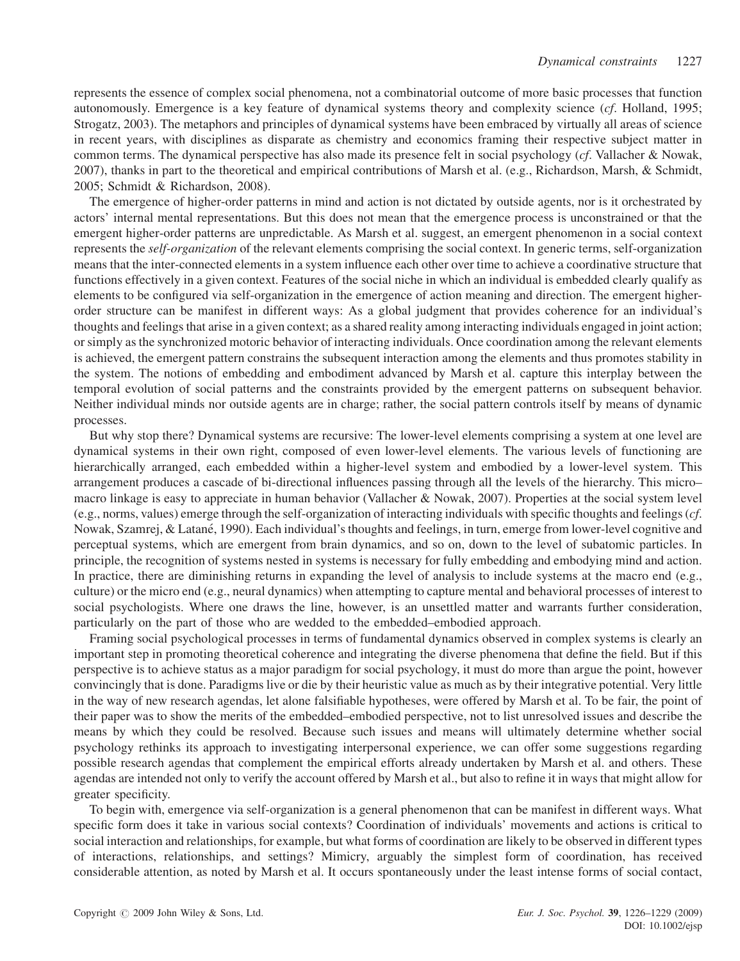represents the essence of complex social phenomena, not a combinatorial outcome of more basic processes that function autonomously. Emergence is a key feature of dynamical systems theory and complexity science (cf. Holland, 1995; Strogatz, 2003). The metaphors and principles of dynamical systems have been embraced by virtually all areas of science in recent years, with disciplines as disparate as chemistry and economics framing their respective subject matter in common terms. The dynamical perspective has also made its presence felt in social psychology (cf. Vallacher & Nowak, 2007), thanks in part to the theoretical and empirical contributions of Marsh et al. (e.g., Richardson, Marsh, & Schmidt, 2005; Schmidt & Richardson, 2008).

The emergence of higher-order patterns in mind and action is not dictated by outside agents, nor is it orchestrated by actors' internal mental representations. But this does not mean that the emergence process is unconstrained or that the emergent higher-order patterns are unpredictable. As Marsh et al. suggest, an emergent phenomenon in a social context represents the *self-organization* of the relevant elements comprising the social context. In generic terms, self-organization means that the inter-connected elements in a system influence each other over time to achieve a coordinative structure that functions effectively in a given context. Features of the social niche in which an individual is embedded clearly qualify as elements to be configured via self-organization in the emergence of action meaning and direction. The emergent higherorder structure can be manifest in different ways: As a global judgment that provides coherence for an individual's thoughts and feelings that arise in a given context; as a shared reality among interacting individuals engaged in joint action; or simply as the synchronized motoric behavior of interacting individuals. Once coordination among the relevant elements is achieved, the emergent pattern constrains the subsequent interaction among the elements and thus promotes stability in the system. The notions of embedding and embodiment advanced by Marsh et al. capture this interplay between the temporal evolution of social patterns and the constraints provided by the emergent patterns on subsequent behavior. Neither individual minds nor outside agents are in charge; rather, the social pattern controls itself by means of dynamic processes.

But why stop there? Dynamical systems are recursive: The lower-level elements comprising a system at one level are dynamical systems in their own right, composed of even lower-level elements. The various levels of functioning are hierarchically arranged, each embedded within a higher-level system and embodied by a lower-level system. This arrangement produces a cascade of bi-directional influences passing through all the levels of the hierarchy. This micro– macro linkage is easy to appreciate in human behavior (Vallacher & Nowak, 2007). Properties at the social system level (e.g., norms, values) emerge through the self-organization of interacting individuals with specific thoughts and feelings (cf. Nowak, Szamrej, & Latané, 1990). Each individual's thoughts and feelings, in turn, emerge from lower-level cognitive and perceptual systems, which are emergent from brain dynamics, and so on, down to the level of subatomic particles. In principle, the recognition of systems nested in systems is necessary for fully embedding and embodying mind and action. In practice, there are diminishing returns in expanding the level of analysis to include systems at the macro end (e.g., culture) or the micro end (e.g., neural dynamics) when attempting to capture mental and behavioral processes of interest to social psychologists. Where one draws the line, however, is an unsettled matter and warrants further consideration, particularly on the part of those who are wedded to the embedded–embodied approach.

Framing social psychological processes in terms of fundamental dynamics observed in complex systems is clearly an important step in promoting theoretical coherence and integrating the diverse phenomena that define the field. But if this perspective is to achieve status as a major paradigm for social psychology, it must do more than argue the point, however convincingly that is done. Paradigms live or die by their heuristic value as much as by their integrative potential. Very little in the way of new research agendas, let alone falsifiable hypotheses, were offered by Marsh et al. To be fair, the point of their paper was to show the merits of the embedded–embodied perspective, not to list unresolved issues and describe the means by which they could be resolved. Because such issues and means will ultimately determine whether social psychology rethinks its approach to investigating interpersonal experience, we can offer some suggestions regarding possible research agendas that complement the empirical efforts already undertaken by Marsh et al. and others. These agendas are intended not only to verify the account offered by Marsh et al., but also to refine it in ways that might allow for greater specificity.

To begin with, emergence via self-organization is a general phenomenon that can be manifest in different ways. What specific form does it take in various social contexts? Coordination of individuals' movements and actions is critical to social interaction and relationships, for example, but what forms of coordination are likely to be observed in different types of interactions, relationships, and settings? Mimicry, arguably the simplest form of coordination, has received considerable attention, as noted by Marsh et al. It occurs spontaneously under the least intense forms of social contact,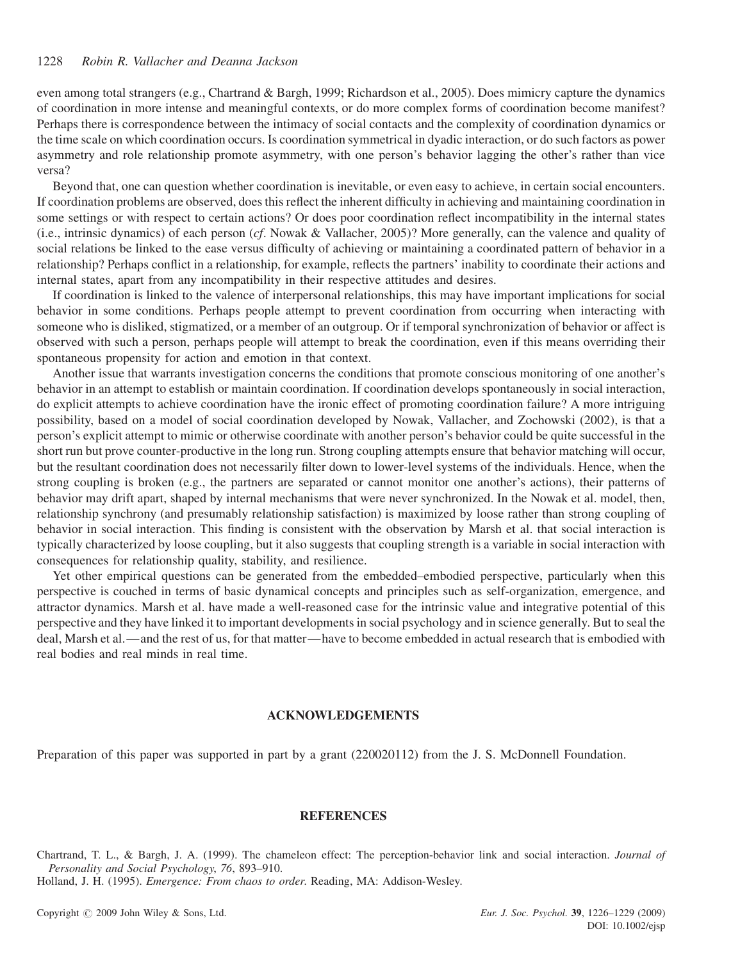even among total strangers (e.g., Chartrand & Bargh, 1999; Richardson et al., 2005). Does mimicry capture the dynamics of coordination in more intense and meaningful contexts, or do more complex forms of coordination become manifest? Perhaps there is correspondence between the intimacy of social contacts and the complexity of coordination dynamics or the time scale on which coordination occurs. Is coordination symmetrical in dyadic interaction, or do such factors as power asymmetry and role relationship promote asymmetry, with one person's behavior lagging the other's rather than vice versa?

Beyond that, one can question whether coordination is inevitable, or even easy to achieve, in certain social encounters. If coordination problems are observed, does this reflect the inherent difficulty in achieving and maintaining coordination in some settings or with respect to certain actions? Or does poor coordination reflect incompatibility in the internal states (i.e., intrinsic dynamics) of each person (cf. Nowak & Vallacher, 2005)? More generally, can the valence and quality of social relations be linked to the ease versus difficulty of achieving or maintaining a coordinated pattern of behavior in a relationship? Perhaps conflict in a relationship, for example, reflects the partners' inability to coordinate their actions and internal states, apart from any incompatibility in their respective attitudes and desires.

If coordination is linked to the valence of interpersonal relationships, this may have important implications for social behavior in some conditions. Perhaps people attempt to prevent coordination from occurring when interacting with someone who is disliked, stigmatized, or a member of an outgroup. Or if temporal synchronization of behavior or affect is observed with such a person, perhaps people will attempt to break the coordination, even if this means overriding their spontaneous propensity for action and emotion in that context.

Another issue that warrants investigation concerns the conditions that promote conscious monitoring of one another's behavior in an attempt to establish or maintain coordination. If coordination develops spontaneously in social interaction, do explicit attempts to achieve coordination have the ironic effect of promoting coordination failure? A more intriguing possibility, based on a model of social coordination developed by Nowak, Vallacher, and Zochowski (2002), is that a person's explicit attempt to mimic or otherwise coordinate with another person's behavior could be quite successful in the short run but prove counter-productive in the long run. Strong coupling attempts ensure that behavior matching will occur, but the resultant coordination does not necessarily filter down to lower-level systems of the individuals. Hence, when the strong coupling is broken (e.g., the partners are separated or cannot monitor one another's actions), their patterns of behavior may drift apart, shaped by internal mechanisms that were never synchronized. In the Nowak et al. model, then, relationship synchrony (and presumably relationship satisfaction) is maximized by loose rather than strong coupling of behavior in social interaction. This finding is consistent with the observation by Marsh et al. that social interaction is typically characterized by loose coupling, but it also suggests that coupling strength is a variable in social interaction with consequences for relationship quality, stability, and resilience.

Yet other empirical questions can be generated from the embedded–embodied perspective, particularly when this perspective is couched in terms of basic dynamical concepts and principles such as self-organization, emergence, and attractor dynamics. Marsh et al. have made a well-reasoned case for the intrinsic value and integrative potential of this perspective and they have linked it to important developments in social psychology and in science generally. But to seal the deal, Marsh et al.—and the rest of us, for that matter—have to become embedded in actual research that is embodied with real bodies and real minds in real time.

#### ACKNOWLEDGEMENTS

Preparation of this paper was supported in part by a grant (220020112) from the J. S. McDonnell Foundation.

#### **REFERENCES**

Chartrand, T. L., & Bargh, J. A. (1999). The chameleon effect: The perception-behavior link and social interaction. Journal of Personality and Social Psychology, 76, 893–910.

Holland, J. H. (1995). *Emergence: From chaos to order*. Reading, MA: Addison-Wesley.